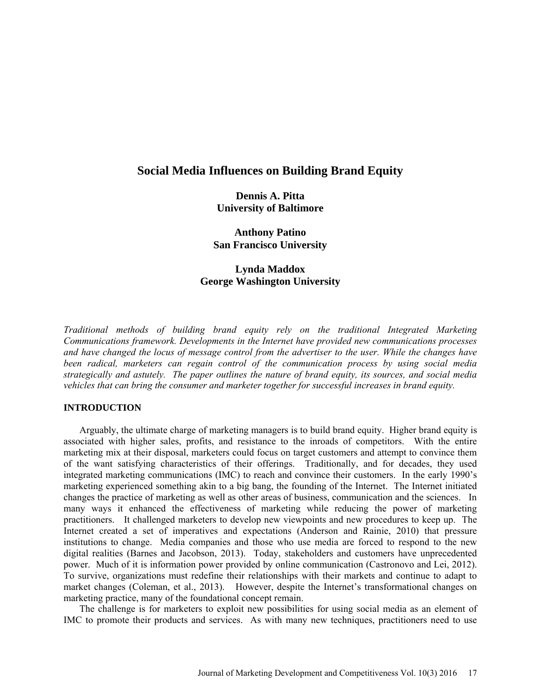# **Social Media Influences on Building Brand Equity**

**Dennis A. Pitta University of Baltimore** 

**Anthony Patino San Francisco University** 

# **Lynda Maddox George Washington University**

*Traditional methods of building brand equity rely on the traditional Integrated Marketing Communications framework. Developments in the Internet have provided new communications processes and have changed the locus of message control from the advertiser to the user. While the changes have been radical, marketers can regain control of the communication process by using social media strategically and astutely. The paper outlines the nature of brand equity, its sources, and social media vehicles that can bring the consumer and marketer together for successful increases in brand equity.* 

## **INTRODUCTION**

Arguably, the ultimate charge of marketing managers is to build brand equity. Higher brand equity is associated with higher sales, profits, and resistance to the inroads of competitors. With the entire marketing mix at their disposal, marketers could focus on target customers and attempt to convince them of the want satisfying characteristics of their offerings. Traditionally, and for decades, they used integrated marketing communications (IMC) to reach and convince their customers. In the early 1990's marketing experienced something akin to a big bang, the founding of the Internet. The Internet initiated changes the practice of marketing as well as other areas of business, communication and the sciences. In many ways it enhanced the effectiveness of marketing while reducing the power of marketing practitioners. It challenged marketers to develop new viewpoints and new procedures to keep up. The Internet created a set of imperatives and expectations (Anderson and Rainie, 2010) that pressure institutions to change. Media companies and those who use media are forced to respond to the new digital realities (Barnes and Jacobson, 2013). Today, stakeholders and customers have unprecedented power. Much of it is information power provided by online communication (Castronovo and Lei, 2012). To survive, organizations must redefine their relationships with their markets and continue to adapt to market changes (Coleman, et al., 2013). However, despite the Internet's transformational changes on marketing practice, many of the foundational concept remain.

The challenge is for marketers to exploit new possibilities for using social media as an element of IMC to promote their products and services. As with many new techniques, practitioners need to use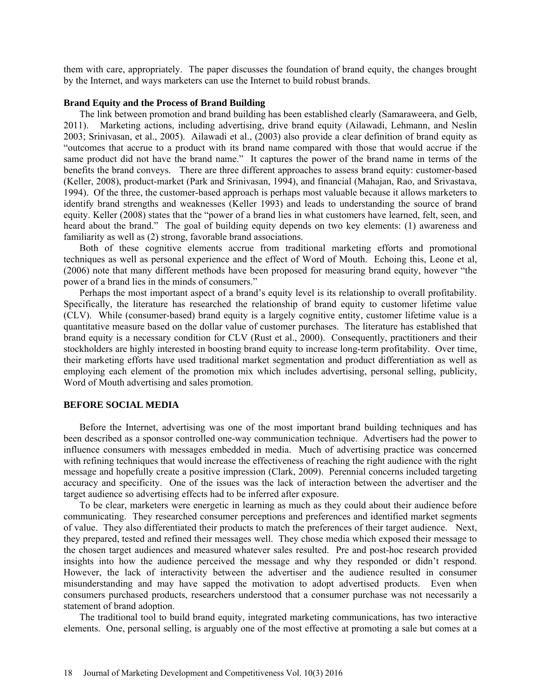them with care, appropriately. The paper discusses the foundation of brand equity, the changes brought by the Internet, and ways marketers can use the Internet to build robust brands.

#### **Brand Equity and the Process of Brand Building**

The link between promotion and brand building has been established clearly (Samaraweera, and Gelb, 2011). Marketing actions, including advertising, drive brand equity (Ailawadi, Lehmann, and Neslin 2003; Srinivasan, et al., 2005). Ailawadi et al., (2003) also provide a clear definition of brand equity as "outcomes that accrue to a product with its brand name compared with those that would accrue if the same product did not have the brand name." It captures the power of the brand name in terms of the benefits the brand conveys. There are three different approaches to assess brand equity: customer-based (Keller, 2008), product-market (Park and Srinivasan, 1994), and financial (Mahajan, Rao, and Srivastava, 1994). Of the three, the customer-based approach is perhaps most valuable because it allows marketers to identify brand strengths and weaknesses (Keller 1993) and leads to understanding the source of brand equity. Keller (2008) states that the "power of a brand lies in what customers have learned, felt, seen, and heard about the brand." The goal of building equity depends on two key elements: (1) awareness and familiarity as well as (2) strong, favorable brand associations.

Both of these cognitive elements accrue from traditional marketing efforts and promotional techniques as well as personal experience and the effect of Word of Mouth. Echoing this, Leone et al, (2006) note that many different methods have been proposed for measuring brand equity, however "the power of a brand lies in the minds of consumers."

Perhaps the most important aspect of a brand's equity level is its relationship to overall profitability. Specifically, the literature has researched the relationship of brand equity to customer lifetime value (CLV). While (consumer-based) brand equity is a largely cognitive entity, customer lifetime value is a quantitative measure based on the dollar value of customer purchases. The literature has established that brand equity is a necessary condition for CLV (Rust et al., 2000). Consequently, practitioners and their stockholders are highly interested in boosting brand equity to increase long-term profitability. Over time, their marketing efforts have used traditional market segmentation and product differentiation as well as employing each element of the promotion mix which includes advertising, personal selling, publicity, Word of Mouth advertising and sales promotion.

### **BEFORE SOCIAL MEDIA**

Before the Internet, advertising was one of the most important brand building techniques and has been described as a sponsor controlled one-way communication technique. Advertisers had the power to influence consumers with messages embedded in media. Much of advertising practice was concerned with refining techniques that would increase the effectiveness of reaching the right audience with the right message and hopefully create a positive impression (Clark, 2009). Perennial concerns included targeting accuracy and specificity. One of the issues was the lack of interaction between the advertiser and the target audience so advertising effects had to be inferred after exposure.

To be clear, marketers were energetic in learning as much as they could about their audience before communicating. They researched consumer perceptions and preferences and identified market segments of value. They also differentiated their products to match the preferences of their target audience. Next, they prepared, tested and refined their messages well. They chose media which exposed their message to the chosen target audiences and measured whatever sales resulted. Pre and post-hoc research provided insights into how the audience perceived the message and why they responded or didn't respond. However, the lack of interactivity between the advertiser and the audience resulted in consumer misunderstanding and may have sapped the motivation to adopt advertised products. Even when consumers purchased products, researchers understood that a consumer purchase was not necessarily a statement of brand adoption.

The traditional tool to build brand equity, integrated marketing communications, has two interactive elements. One, personal selling, is arguably one of the most effective at promoting a sale but comes at a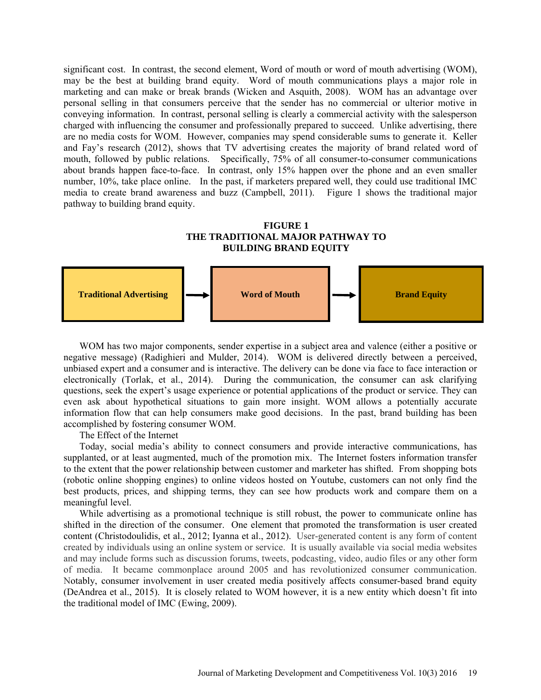significant cost. In contrast, the second element, Word of mouth or word of mouth advertising (WOM), may be the best at building brand equity. Word of mouth communications plays a major role in marketing and can make or break brands (Wicken and Asquith, 2008). WOM has an advantage over personal selling in that consumers perceive that the sender has no commercial or ulterior motive in conveying information. In contrast, personal selling is clearly a commercial activity with the salesperson charged with influencing the consumer and professionally prepared to succeed. Unlike advertising, there are no media costs for WOM. However, companies may spend considerable sums to generate it. Keller and Fay's research (2012), shows that TV advertising creates the majority of brand related word of mouth, followed by public relations. Specifically, 75% of all consumer-to-consumer communications about brands happen face-to-face. In contrast, only 15% happen over the phone and an even smaller number, 10%, take place online. In the past, if marketers prepared well, they could use traditional IMC media to create brand awareness and buzz (Campbell, 2011). Figure 1 shows the traditional major pathway to building brand equity.

### **FIGURE 1 THE TRADITIONAL MAJOR PATHWAY TO BUILDING BRAND EQUITY**



WOM has two major components, sender expertise in a subject area and valence (either a positive or negative message) (Radighieri and Mulder, 2014). WOM is delivered directly between a perceived, unbiased expert and a consumer and is interactive. The delivery can be done via face to face interaction or electronically (Torlak, et al., 2014). During the communication, the consumer can ask clarifying questions, seek the expert's usage experience or potential applications of the product or service. They can even ask about hypothetical situations to gain more insight. WOM allows a potentially accurate information flow that can help consumers make good decisions. In the past, brand building has been accomplished by fostering consumer WOM.

The Effect of the Internet

Today, social media's ability to connect consumers and provide interactive communications, has supplanted, or at least augmented, much of the promotion mix. The Internet fosters information transfer to the extent that the power relationship between customer and marketer has shifted. From shopping bots (robotic online shopping engines) to online videos hosted on Youtube, customers can not only find the best products, prices, and shipping terms, they can see how products work and compare them on a meaningful level.

While advertising as a promotional technique is still robust, the power to communicate online has shifted in the direction of the consumer. One element that promoted the transformation is user created content (Christodoulidis, et al., 2012; Iyanna et al., 2012). User-generated content is any form of content created by individuals using an online system or service. It is usually available via social media websites and may include forms such as discussion forums, tweets, podcasting, video, audio files or any other form of media. It became commonplace around 2005 and has revolutionized consumer communication. Notably, consumer involvement in user created media positively affects consumer-based brand equity (DeAndrea et al., 2015). It is closely related to WOM however, it is a new entity which doesn't fit into the traditional model of IMC (Ewing, 2009).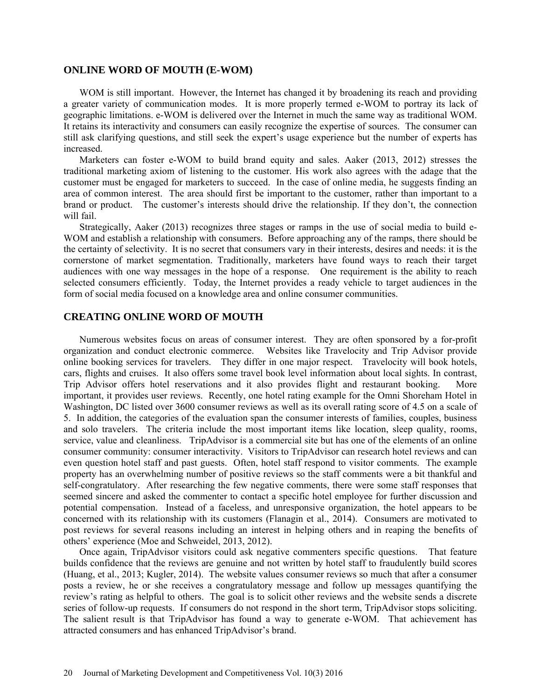### **ONLINE WORD OF MOUTH (E-WOM)**

WOM is still important. However, the Internet has changed it by broadening its reach and providing a greater variety of communication modes. It is more properly termed e-WOM to portray its lack of geographic limitations. e-WOM is delivered over the Internet in much the same way as traditional WOM. It retains its interactivity and consumers can easily recognize the expertise of sources. The consumer can still ask clarifying questions, and still seek the expert's usage experience but the number of experts has increased.

Marketers can foster e-WOM to build brand equity and sales. Aaker (2013, 2012) stresses the traditional marketing axiom of listening to the customer. His work also agrees with the adage that the customer must be engaged for marketers to succeed. In the case of online media, he suggests finding an area of common interest. The area should first be important to the customer, rather than important to a brand or product. The customer's interests should drive the relationship. If they don't, the connection will fail.

Strategically, Aaker (2013) recognizes three stages or ramps in the use of social media to build e-WOM and establish a relationship with consumers. Before approaching any of the ramps, there should be the certainty of selectivity. It is no secret that consumers vary in their interests, desires and needs: it is the cornerstone of market segmentation. Traditionally, marketers have found ways to reach their target audiences with one way messages in the hope of a response. One requirement is the ability to reach selected consumers efficiently. Today, the Internet provides a ready vehicle to target audiences in the form of social media focused on a knowledge area and online consumer communities.

# **CREATING ONLINE WORD OF MOUTH**

 Numerous websites focus on areas of consumer interest. They are often sponsored by a for-profit organization and conduct electronic commerce. Websites like Travelocity and Trip Advisor provide online booking services for travelers. They differ in one major respect. Travelocity will book hotels, cars, flights and cruises. It also offers some travel book level information about local sights. In contrast, Trip Advisor offers hotel reservations and it also provides flight and restaurant booking. More important, it provides user reviews. Recently, one hotel rating example for the Omni Shoreham Hotel in Washington, DC listed over 3600 consumer reviews as well as its overall rating score of 4.5 on a scale of 5. In addition, the categories of the evaluation span the consumer interests of families, couples, business and solo travelers. The criteria include the most important items like location, sleep quality, rooms, service, value and cleanliness. TripAdvisor is a commercial site but has one of the elements of an online consumer community: consumer interactivity. Visitors to TripAdvisor can research hotel reviews and can even question hotel staff and past guests. Often, hotel staff respond to visitor comments. The example property has an overwhelming number of positive reviews so the staff comments were a bit thankful and self-congratulatory. After researching the few negative comments, there were some staff responses that seemed sincere and asked the commenter to contact a specific hotel employee for further discussion and potential compensation. Instead of a faceless, and unresponsive organization, the hotel appears to be concerned with its relationship with its customers (Flanagin et al., 2014). Consumers are motivated to post reviews for several reasons including an interest in helping others and in reaping the benefits of others' experience (Moe and Schweidel, 2013, 2012).

Once again, TripAdvisor visitors could ask negative commenters specific questions. That feature builds confidence that the reviews are genuine and not written by hotel staff to fraudulently build scores (Huang, et al., 2013; Kugler, 2014). The website values consumer reviews so much that after a consumer posts a review, he or she receives a congratulatory message and follow up messages quantifying the review's rating as helpful to others. The goal is to solicit other reviews and the website sends a discrete series of follow-up requests. If consumers do not respond in the short term, TripAdvisor stops soliciting. The salient result is that TripAdvisor has found a way to generate e-WOM. That achievement has attracted consumers and has enhanced TripAdvisor's brand.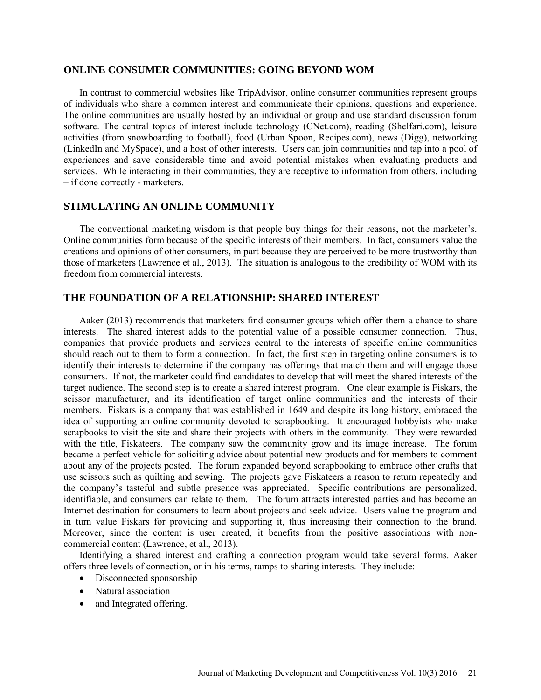### **ONLINE CONSUMER COMMUNITIES: GOING BEYOND WOM**

 In contrast to commercial websites like TripAdvisor, online consumer communities represent groups of individuals who share a common interest and communicate their opinions, questions and experience. The online communities are usually hosted by an individual or group and use standard discussion forum software. The central topics of interest include technology (CNet.com), reading (Shelfari.com), leisure activities (from snowboarding to football), food (Urban Spoon, Recipes.com), news (Digg), networking (LinkedIn and MySpace), and a host of other interests. Users can join communities and tap into a pool of experiences and save considerable time and avoid potential mistakes when evaluating products and services. While interacting in their communities, they are receptive to information from others, including – if done correctly - marketers.

## **STIMULATING AN ONLINE COMMUNITY**

 The conventional marketing wisdom is that people buy things for their reasons, not the marketer's. Online communities form because of the specific interests of their members. In fact, consumers value the creations and opinions of other consumers, in part because they are perceived to be more trustworthy than those of marketers (Lawrence et al., 2013). The situation is analogous to the credibility of WOM with its freedom from commercial interests.

## **THE FOUNDATION OF A RELATIONSHIP: SHARED INTEREST**

 Aaker (2013) recommends that marketers find consumer groups which offer them a chance to share interests. The shared interest adds to the potential value of a possible consumer connection. Thus, companies that provide products and services central to the interests of specific online communities should reach out to them to form a connection. In fact, the first step in targeting online consumers is to identify their interests to determine if the company has offerings that match them and will engage those consumers. If not, the marketer could find candidates to develop that will meet the shared interests of the target audience. The second step is to create a shared interest program. One clear example is Fiskars, the scissor manufacturer, and its identification of target online communities and the interests of their members. Fiskars is a company that was established in 1649 and despite its long history, embraced the idea of supporting an online community devoted to scrapbooking. It encouraged hobbyists who make scrapbooks to visit the site and share their projects with others in the community. They were rewarded with the title, Fiskateers. The company saw the community grow and its image increase. The forum became a perfect vehicle for soliciting advice about potential new products and for members to comment about any of the projects posted. The forum expanded beyond scrapbooking to embrace other crafts that use scissors such as quilting and sewing. The projects gave Fiskateers a reason to return repeatedly and the company's tasteful and subtle presence was appreciated. Specific contributions are personalized, identifiable, and consumers can relate to them. The forum attracts interested parties and has become an Internet destination for consumers to learn about projects and seek advice. Users value the program and in turn value Fiskars for providing and supporting it, thus increasing their connection to the brand. Moreover, since the content is user created, it benefits from the positive associations with noncommercial content (Lawrence, et al., 2013).

 Identifying a shared interest and crafting a connection program would take several forms. Aaker offers three levels of connection, or in his terms, ramps to sharing interests. They include:

- Disconnected sponsorship
- Natural association
- and Integrated offering.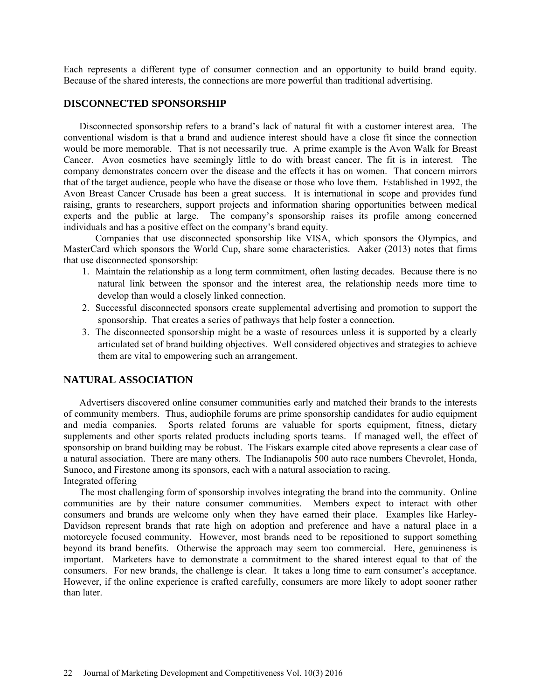Each represents a different type of consumer connection and an opportunity to build brand equity. Because of the shared interests, the connections are more powerful than traditional advertising.

### **DISCONNECTED SPONSORSHIP**

 Disconnected sponsorship refers to a brand's lack of natural fit with a customer interest area. The conventional wisdom is that a brand and audience interest should have a close fit since the connection would be more memorable. That is not necessarily true. A prime example is the Avon Walk for Breast Cancer. Avon cosmetics have seemingly little to do with breast cancer. The fit is in interest. The company demonstrates concern over the disease and the effects it has on women. That concern mirrors that of the target audience, people who have the disease or those who love them. Established in 1992, the Avon Breast Cancer Crusade has been a great success. It is international in scope and provides fund raising, grants to researchers, support projects and information sharing opportunities between medical experts and the public at large. The company's sponsorship raises its profile among concerned individuals and has a positive effect on the company's brand equity.

 Companies that use disconnected sponsorship like VISA, which sponsors the Olympics, and MasterCard which sponsors the World Cup, share some characteristics. Aaker (2013) notes that firms that use disconnected sponsorship:

- 1. Maintain the relationship as a long term commitment, often lasting decades. Because there is no natural link between the sponsor and the interest area, the relationship needs more time to develop than would a closely linked connection.
- 2. Successful disconnected sponsors create supplemental advertising and promotion to support the sponsorship. That creates a series of pathways that help foster a connection.
- 3. The disconnected sponsorship might be a waste of resources unless it is supported by a clearly articulated set of brand building objectives. Well considered objectives and strategies to achieve them are vital to empowering such an arrangement.

# **NATURAL ASSOCIATION**

 Advertisers discovered online consumer communities early and matched their brands to the interests of community members. Thus, audiophile forums are prime sponsorship candidates for audio equipment and media companies. Sports related forums are valuable for sports equipment, fitness, dietary supplements and other sports related products including sports teams. If managed well, the effect of sponsorship on brand building may be robust. The Fiskars example cited above represents a clear case of a natural association. There are many others. The Indianapolis 500 auto race numbers Chevrolet, Honda, Sunoco, and Firestone among its sponsors, each with a natural association to racing. Integrated offering

 The most challenging form of sponsorship involves integrating the brand into the community. Online communities are by their nature consumer communities. Members expect to interact with other consumers and brands are welcome only when they have earned their place. Examples like Harley-Davidson represent brands that rate high on adoption and preference and have a natural place in a motorcycle focused community. However, most brands need to be repositioned to support something beyond its brand benefits. Otherwise the approach may seem too commercial. Here, genuineness is important. Marketers have to demonstrate a commitment to the shared interest equal to that of the consumers. For new brands, the challenge is clear. It takes a long time to earn consumer's acceptance. However, if the online experience is crafted carefully, consumers are more likely to adopt sooner rather than later.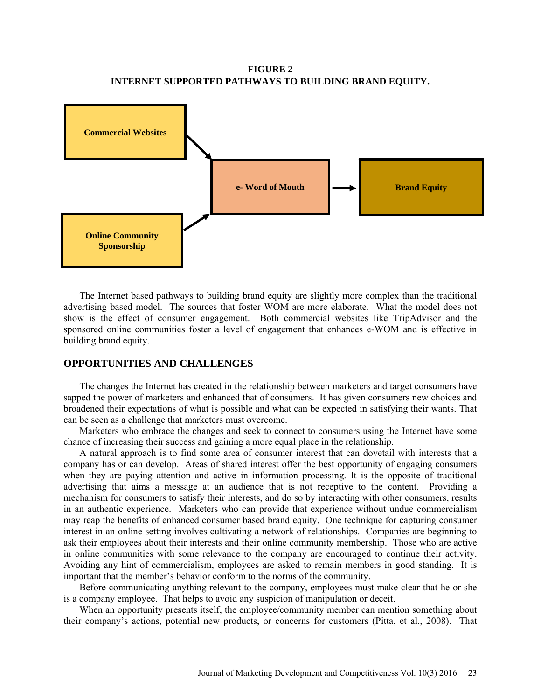**FIGURE 2 INTERNET SUPPORTED PATHWAYS TO BUILDING BRAND EQUITY.**



 The Internet based pathways to building brand equity are slightly more complex than the traditional advertising based model. The sources that foster WOM are more elaborate. What the model does not show is the effect of consumer engagement. Both commercial websites like TripAdvisor and the sponsored online communities foster a level of engagement that enhances e-WOM and is effective in building brand equity.

## **OPPORTUNITIES AND CHALLENGES**

 The changes the Internet has created in the relationship between marketers and target consumers have sapped the power of marketers and enhanced that of consumers. It has given consumers new choices and broadened their expectations of what is possible and what can be expected in satisfying their wants. That can be seen as a challenge that marketers must overcome.

 Marketers who embrace the changes and seek to connect to consumers using the Internet have some chance of increasing their success and gaining a more equal place in the relationship.

 A natural approach is to find some area of consumer interest that can dovetail with interests that a company has or can develop. Areas of shared interest offer the best opportunity of engaging consumers when they are paying attention and active in information processing. It is the opposite of traditional advertising that aims a message at an audience that is not receptive to the content. Providing a mechanism for consumers to satisfy their interests, and do so by interacting with other consumers, results in an authentic experience. Marketers who can provide that experience without undue commercialism may reap the benefits of enhanced consumer based brand equity. One technique for capturing consumer interest in an online setting involves cultivating a network of relationships. Companies are beginning to ask their employees about their interests and their online community membership. Those who are active in online communities with some relevance to the company are encouraged to continue their activity. Avoiding any hint of commercialism, employees are asked to remain members in good standing. It is important that the member's behavior conform to the norms of the community.

 Before communicating anything relevant to the company, employees must make clear that he or she is a company employee. That helps to avoid any suspicion of manipulation or deceit.

When an opportunity presents itself, the employee/community member can mention something about their company's actions, potential new products, or concerns for customers (Pitta, et al., 2008). That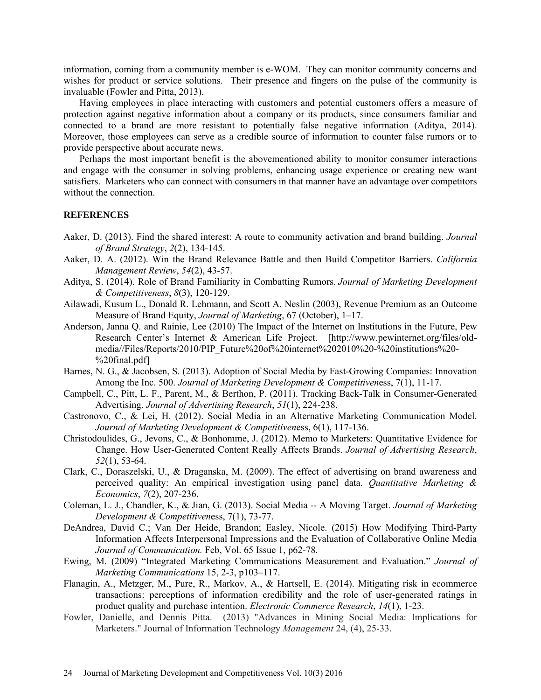information, coming from a community member is e-WOM. They can monitor community concerns and wishes for product or service solutions. Their presence and fingers on the pulse of the community is invaluable (Fowler and Pitta, 2013).

 Having employees in place interacting with customers and potential customers offers a measure of protection against negative information about a company or its products, since consumers familiar and connected to a brand are more resistant to potentially false negative information (Aditya, 2014). Moreover, those employees can serve as a credible source of information to counter false rumors or to provide perspective about accurate news.

 Perhaps the most important benefit is the abovementioned ability to monitor consumer interactions and engage with the consumer in solving problems, enhancing usage experience or creating new want satisfiers. Marketers who can connect with consumers in that manner have an advantage over competitors without the connection.

#### **REFERENCES**

- Aaker, D. (2013). Find the shared interest: A route to community activation and brand building. *Journal of Brand Strategy*, *2*(2), 134-145.
- Aaker, D. A. (2012). Win the Brand Relevance Battle and then Build Competitor Barriers. *California Management Review*, *54*(2), 43-57.
- Aditya, S. (2014). Role of Brand Familiarity in Combatting Rumors. *Journal of Marketing Development & Competitiveness*, *8*(3), 120-129.
- Ailawadi, Kusum L., Donald R. Lehmann, and Scott A. Neslin (2003), Revenue Premium as an Outcome Measure of Brand Equity, *Journal of Marketing*, 67 (October), 1–17.
- Anderson, Janna Q. and Rainie, Lee (2010) The Impact of the Internet on Institutions in the Future, Pew Research Center's Internet & American Life Project. [http://www.pewinternet.org/files/oldmedia//Files/Reports/2010/PIP\_Future%20of%20internet%202010%20-%20institutions%20- %20final.pdf]
- Barnes, N. G., & Jacobsen, S. (2013). Adoption of Social Media by Fast-Growing Companies: Innovation Among the Inc. 500. *Journal of Marketing Development & Competitiven*ess, 7(1), 11-17.
- Campbell, C., Pitt, L. F., Parent, M., & Berthon, P. (2011). Tracking Back-Talk in Consumer-Generated Advertising. *Journal of Advertising Research*, *51*(1), 224-238.
- Castronovo, C., & Lei, H. (2012). Social Media in an Alternative Marketing Communication Model. *Journal of Marketing Development & Competitiven*ess, 6(1), 117-136.
- Christodoulides, G., Jevons, C., & Bonhomme, J. (2012). Memo to Marketers: Quantitative Evidence for Change. How User-Generated Content Really Affects Brands. *Journal of Advertising Research*, *52*(1), 53-64.
- Clark, C., Doraszelski, U., & Draganska, M. (2009). The effect of advertising on brand awareness and perceived quality: An empirical investigation using panel data. *Quantitative Marketing & Economics*, *7*(2), 207-236.
- Coleman, L. J., Chandler, K., & Jian, G. (2013). Social Media -- A Moving Target. *Journal of Marketing Development & Competitiven*ess, 7(1), 73-77.
- DeAndrea, David C.; Van Der Heide, Brandon; Easley, Nicole. (2015) How Modifying Third-Party Information Affects Interpersonal Impressions and the Evaluation of Collaborative Online Media *Journal of Communication.* Feb, Vol. 65 Issue 1, p62-78.
- Ewing, M. (2009) "Integrated Marketing Communications Measurement and Evaluation." *Journal of Marketing Communications* 15, 2-3, p103–117.
- Flanagin, A., Metzger, M., Pure, R., Markov, A., & Hartsell, E. (2014). Mitigating risk in ecommerce transactions: perceptions of information credibility and the role of user-generated ratings in product quality and purchase intention. *Electronic Commerce Research*, *14*(1), 1-23.
- Fowler, Danielle, and Dennis Pitta. (2013) "Advances in Mining Social Media: Implications for Marketers." Journal of Information Technology *Management* 24, (4), 25-33.